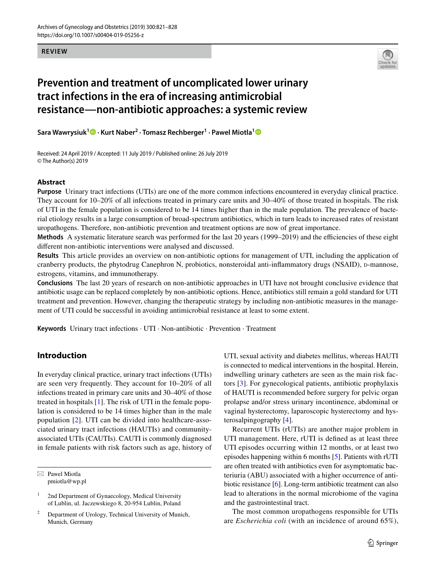#### **REVIEW**



# **Prevention and treatment of uncomplicated lower urinary tract infections in the era of increasing antimicrobial resistance—non‑antibiotic approaches: a systemic review**

**Sara Wawrysiuk<sup>1</sup> · Kurt Naber2 · Tomasz Rechberger<sup>1</sup> · Pawel Miotla[1](http://orcid.org/0000-0002-1902-6484)**

Received: 24 April 2019 / Accepted: 11 July 2019 / Published online: 26 July 2019 © The Author(s) 2019

#### **Abstract**

**Purpose** Urinary tract infections (UTIs) are one of the more common infections encountered in everyday clinical practice. They account for 10–20% of all infections treated in primary care units and 30–40% of those treated in hospitals. The risk of UTI in the female population is considered to be 14 times higher than in the male population*.* The prevalence of bacterial etiology results in a large consumption of broad-spectrum antibiotics, which in turn leads to increased rates of resistant uropathogens. Therefore, non-antibiotic prevention and treatment options are now of great importance.

**Methods** A systematic literature search was performed for the last 20 years (1999–2019) and the efficiencies of these eight diferent non-antibiotic interventions were analysed and discussed.

**Results** This article provides an overview on non-antibiotic options for management of UTI, including the application of cranberry products, the phytodrug Canephron N, probiotics, nonsteroidal anti-inflammatory drugs (NSAID), p-mannose, estrogens, vitamins, and immunotherapy.

**Conclusions** The last 20 years of research on non-antibiotic approaches in UTI have not brought conclusive evidence that antibiotic usage can be replaced completely by non-antibiotic options. Hence, antibiotics still remain a gold standard for UTI treatment and prevention. However, changing the therapeutic strategy by including non-antibiotic measures in the management of UTI could be successful in avoiding antimicrobial resistance at least to some extent.

**Keywords** Urinary tract infections · UTI · Non-antibiotic · Prevention · Treatment

# **Introduction**

In everyday clinical practice, urinary tract infections (UTIs) are seen very frequently. They account for 10–20% of all infections treated in primary care units and 30–40% of those treated in hospitals [[1\]](#page-6-0). The risk of UTI in the female population is considered to be 14 times higher than in the male population [\[2](#page-6-1)]. UTI can be divided into healthcare-associated urinary tract infections (HAUTIs) and communityassociated UTIs (CAUTIs). CAUTI is commonly diagnosed in female patients with risk factors such as age, history of

 $\boxtimes$  Pawel Miotla pmiotla@wp.pl

<sup>2</sup> Department of Urology, Technical University of Munich, Munich, Germany

UTI, sexual activity and diabetes mellitus, whereas HAUTI is connected to medical interventions in the hospital. Herein, indwelling urinary catheters are seen as the main risk factors [[3\]](#page-6-2). For gynecological patients, antibiotic prophylaxis of HAUTI is recommended before surgery for pelvic organ prolapse and/or stress urinary incontinence, abdominal or vaginal hysterectomy, laparoscopic hysterectomy and hysterosalpingography [[4\]](#page-6-3).

Recurrent UTIs (rUTIs) are another major problem in UTI management. Here, rUTI is defned as at least three UTI episodes occurring within 12 months, or at least two episodes happening within 6 months [[5\]](#page-6-4). Patients with rUTI are often treated with antibiotics even for asymptomatic bacteriuria (ABU) associated with a higher occurrence of antibiotic resistance [\[6](#page-6-5)]. Long-term antibiotic treatment can also lead to alterations in the normal microbiome of the vagina and the gastrointestinal tract.

The most common uropathogens responsible for UTIs are *Escherichia coli* (with an incidence of around 65%),

<sup>&</sup>lt;sup>1</sup> 2nd Department of Gynaecology, Medical University of Lublin, ul. Jaczewskiego 8, 20-954 Lublin, Poland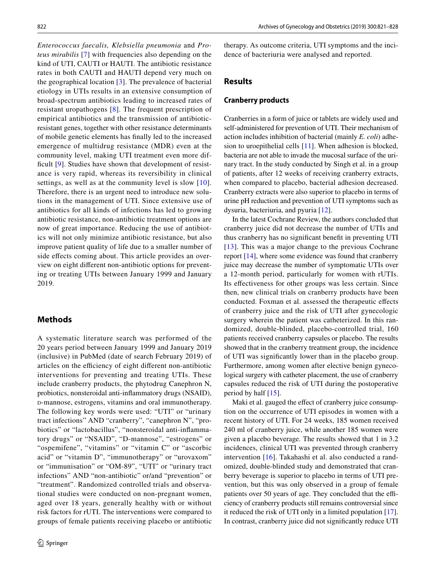*Enterococcus faecalis, Klebsiella pneumonia* and *Proteus mirabilis* [\[7](#page-6-6)] with frequencies also depending on the kind of UTI, CAUTI or HAUTI. The antibiotic resistance rates in both CAUTI and HAUTI depend very much on the geographical location [\[3](#page-6-2)]. The prevalence of bacterial etiology in UTIs results in an extensive consumption of broad-spectrum antibiotics leading to increased rates of resistant uropathogens [[8\]](#page-6-7). The frequent prescription of empirical antibiotics and the transmission of antibioticresistant genes, together with other resistance determinants of mobile genetic elements has fnally led to the increased emergence of multidrug resistance (MDR) even at the community level, making UTI treatment even more dif-ficult [[9\]](#page-6-8). Studies have shown that development of resistance is very rapid, whereas its reversibility in clinical settings, as well as at the community level is slow [\[10](#page-6-9)]. Therefore, there is an urgent need to introduce new solutions in the management of UTI. Since extensive use of antibiotics for all kinds of infections has led to growing antibiotic resistance, non-antibiotic treatment options are now of great importance. Reducing the use of antibiotics will not only minimize antibiotic resistance, but also improve patient quality of life due to a smaller number of side effects coming about. This article provides an overview on eight diferent non-antibiotic options for preventing or treating UTIs between January 1999 and January 2019.

# **Methods**

A systematic literature search was performed of the 20 years period between January 1999 and January 2019 (inclusive) in PubMed (date of search February 2019) of articles on the efficiency of eight different non-antibiotic interventions for preventing and treating UTIs. These include cranberry products, the phytodrug Canephron N, probiotics, nonsteroidal anti-infammatory drugs (NSAID), <sup>d</sup>-mannose, estrogens, vitamins and oral immunotherapy. The following key words were used: "UTI" or "urinary tract infections" AND "cranberry", "canephron N", "probiotics" or "lactobacillus", "nonsteroidal anti-infammatory drugs" or "NSAID", "D-mannose", "estrogens" or "ospemifene", "vitamins" or "vitamin C" or "ascorbic acid" or "vitamin D", "immunotherapy" or "urovaxom" or "immunisation" or "OM-89", "UTI" or "urinary tract infections" AND "non-antibiotic" or/and "prevention" or "treatment". Randomized controlled trials and observational studies were conducted on non-pregnant women, aged over 18 years, generally healthy with or without risk factors for rUTI. The interventions were compared to groups of female patients receiving placebo or antibiotic therapy. As outcome criteria, UTI symptoms and the incidence of bacteriuria were analysed and reported.

## **Results**

### **Cranberry products**

Cranberries in a form of juice or tablets are widely used and self-administered for prevention of UTI. Their mechanism of action includes inhibition of bacterial (mainly *E. coli*) adhesion to uroepithelial cells [[11\]](#page-6-10). When adhesion is blocked, bacteria are not able to invade the mucosal surface of the urinary tract. In the study conducted by Singh et al. in a group of patients, after 12 weeks of receiving cranberry extracts, when compared to placebo, bacterial adhesion decreased. Cranberry extracts were also superior to placebo in terms of urine pH reduction and prevention of UTI symptoms such as dysuria, bacteriuria, and pyuria [\[12\]](#page-6-11).

In the latest Cochrane Review, the authors concluded that cranberry juice did not decrease the number of UTIs and thus cranberry has no signifcant beneft in preventing UTI [[13](#page-6-12)]. This was a major change to the previous Cochrane report [\[14](#page-6-13)], where some evidence was found that cranberry juice may decrease the number of symptomatic UTIs over a 12-month period, particularly for women with rUTIs. Its efectiveness for other groups was less certain. Since then, new clinical trials on cranberry products have been conducted. Foxman et al. assessed the therapeutic efects of cranberry juice and the risk of UTI after gynecologic surgery wherein the patient was catheterized. In this randomized, double-blinded, placebo-controlled trial, 160 patients received cranberry capsules or placebo. The results showed that in the cranberry treatment group, the incidence of UTI was signifcantly lower than in the placebo group. Furthermore, among women after elective benign gynecological surgery with catheter placement, the use of cranberry capsules reduced the risk of UTI during the postoperative period by half  $[15]$ .

Maki et al. gauged the effect of cranberry juice consumption on the occurrence of UTI episodes in women with a recent history of UTI. For 24 weeks, 185 women received 240 ml of cranberry juice, while another 185 women were given a placebo beverage. The results showed that 1 in 3.2 incidences, clinical UTI was prevented through cranberry intervention [[16\]](#page-6-15). Takahashi et al. also conducted a randomized, double-blinded study and demonstrated that cranberry beverage is superior to placebo in terms of UTI prevention, but this was only observed in a group of female patients over 50 years of age. They concluded that the efficiency of cranberry products still remains controversial since it reduced the risk of UTI only in a limited population [\[17](#page-6-16)]. In contrast, cranberry juice did not signifcantly reduce UTI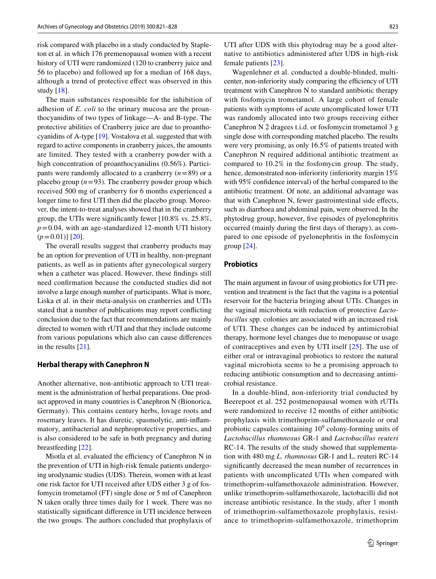risk compared with placebo in a study conducted by Stapleton et al. in which 176 premenopausal women with a recent history of UTI were randomized (120 to cranberry juice and 56 to placebo) and followed up for a median of 168 days, although a trend of protective efect was observed in this study [[18\]](#page-6-17).

The main substances responsible for the inhibition of adhesion of *E. coli* to the urinary mucosa are the proanthocyanidins of two types of linkage—A- and B-type. The protective abilities of Cranberry juice are due to proanthocyanidins of A-type [\[19\]](#page-6-18). Vostalova et al. suggested that with regard to active components in cranberry juices, the amounts are limited. They tested with a cranberry powder with a high concentration of proanthocyanidins (0.56%). Participants were randomly allocated to a cranberry (*n*=89) or a placebo group  $(n=93)$ . The cranberry powder group which received 500 mg of cranberry for 6 months experienced a longer time to frst UTI then did the placebo group. Moreover, the intent-to-treat analyses showed that in the cranberry group, the UTIs were signifcantly fewer [10.8% vs. 25.8%,  $p=0.04$ , with an age-standardized 12-month UTI history  $(p=0.01)$ ] [\[20](#page-6-19)].

The overall results suggest that cranberry products may be an option for prevention of UTI in healthy, non-pregnant patients, as well as in patients after gynecological surgery when a catheter was placed. However, these fndings still need confrmation because the conducted studies did not involve a large enough number of participants. What is more, Liska et al. in their meta-analysis on cranberries and UTIs stated that a number of publications may report conficting conclusion due to the fact that recommendations are mainly directed to women with rUTI and that they include outcome from various populations which also can cause diferences in the results [\[21\]](#page-6-20).

#### **Herbal therapy with Canephron N**

Another alternative, non-antibiotic approach to UTI treatment is the administration of herbal preparations. One product approved in many countries is Canephron N (Bionorica, Germany). This contains century herbs, lovage roots and rosemary leaves. It has diuretic, spasmolytic, anti-infammatory, antibacterial and nephroprotective properties, and is also considered to be safe in both pregnancy and during breastfeeding [[22](#page-6-21)].

Miotla et al. evaluated the efficiency of Canephron N in the prevention of UTI in high-risk female patients undergoing urodynamic studies (UDS). Therein, women with at least one risk factor for UTI received after UDS either 3 g of fosfomycin trometamol (FT) single dose or 5 ml of Canephron N taken orally three times daily for 1 week. There was no statistically signifcant diference in UTI incidence between the two groups. The authors concluded that prophylaxis of UTI after UDS with this phytodrug may be a good alternative to antibiotics administered after UDS in high-risk female patients [\[23](#page-6-22)].

Wagenlehner et al. conducted a double-blinded, multicenter, non-inferiority study comparing the efficiency of UTI treatment with Canephron N to standard antibiotic therapy with fosfomycin trometamol. A large cohort of female patients with symptoms of acute uncomplicated lower UTI was randomly allocated into two groups receiving either Canephron N 2 dragees t.i.d. or fosfomycin trometamol 3 g single dose with corresponding matched placebo. The results were very promising, as only 16.5% of patients treated with Canephron N required additional antibiotic treatment as compared to 10.2% in the fosfomycin group. The study, hence, demonstrated non-inferiority (inferiority margin 15%) with 95% confdence interval) of the herbal compared to the antibiotic treatment. Of note, an additional advantage was that with Canephron N, fewer gastrointestinal side efects, such as diarrhoea and abdominal pain, were observed. In the phytodrug group, however, fve episodes of pyelonephritis occurred (mainly during the frst days of therapy), as compared to one episode of pyelonephritis in the fosfomycin group [[24\]](#page-6-23).

## **Probiotics**

The main argument in favour of using probiotics for UTI prevention and treatment is the fact that the vagina is a potential reservoir for the bacteria bringing about UTIs. Changes in the vaginal microbiota with reduction of protective *Lactobacillus* spp. colonies are associated with an increased risk of UTI. These changes can be induced by antimicrobial therapy, hormone level changes due to menopause or usage of contraceptives and even by UTI itself [[25\]](#page-6-24). The use of either oral or intravaginal probiotics to restore the natural vaginal microbiota seems to be a promising approach to reducing antibiotic consumption and to decreasing antimicrobial resistance.

In a double-blind, non-inferiority trial conducted by Beerepoot et al. 252 postmenopausal women with rUTIs were randomized to receive 12 months of either antibiotic prophylaxis with trimethoprim-sulfamethoxazole or oral probiotic capsules containing  $10^9$  colony-forming units of *Lactobacillus rhamnosus* GR-1 and *Lactobacillus reuteri* RC-14. The results of the study showed that supplementation with 480 mg *L. rhamnosus* GR-1 and L. reuteri RC-14 signifcantly decreased the mean number of recurrences in patients with uncomplicated UTIs when compared with trimethoprim-sulfamethoxazole administration. However, unlike trimethoprim-sulfamethoxazole, lactobacilli did not increase antibiotic resistance. In the study, after 1 month of trimethoprim-sulfamethoxazole prophylaxis, resistance to trimethoprim-sulfamethoxazole, trimethoprim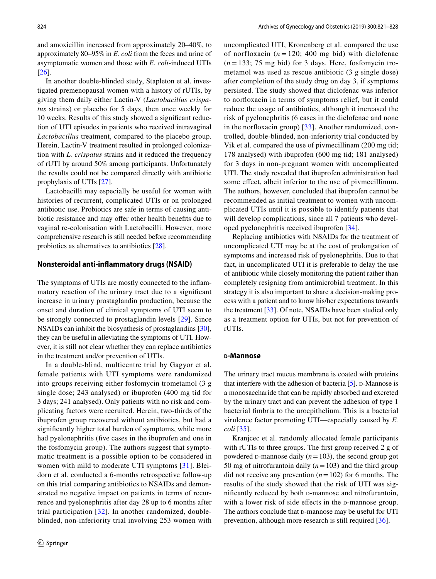and amoxicillin increased from approximately 20–40%, to approximately 80–95% in *E. coli* from the feces and urine of asymptomatic women and those with *E. coli*-induced UTIs [\[26\]](#page-6-25).

In another double-blinded study, Stapleton et al. investigated premenopausal women with a history of rUTIs, by giving them daily either Lactin-V (*Lactobacillus crispatus* strains) or placebo for 5 days, then once weekly for 10 weeks. Results of this study showed a signifcant reduction of UTI episodes in patients who received intravaginal *Lactobacillus* treatment, compared to the placebo group. Herein, Lactin-V treatment resulted in prolonged colonization with *L. crispatus* strains and it reduced the frequency of rUTI by around 50% among participants. Unfortunately the results could not be compared directly with antibiotic prophylaxis of UTIs [\[27](#page-6-26)].

Lactobacilli may especially be useful for women with histories of recurrent, complicated UTIs or on prolonged antibiotic use. Probiotics are safe in terms of causing antibiotic resistance and may offer other health benefits due to vaginal re-colonisation with Lactobacilli. However, more comprehensive research is still needed before recommending probiotics as alternatives to antibiotics [[28](#page-6-27)].

#### **Nonsteroidal anti‑infammatory drugs (NSAID)**

The symptoms of UTIs are mostly connected to the infammatory reaction of the urinary tract due to a signifcant increase in urinary prostaglandin production, because the onset and duration of clinical symptoms of UTI seem to be strongly connected to prostaglandin levels [[29](#page-6-28)]. Since NSAIDs can inhibit the biosynthesis of prostaglandins [\[30](#page-6-29)], they can be useful in alleviating the symptoms of UTI. However, it is still not clear whether they can replace antibiotics in the treatment and/or prevention of UTIs.

In a double-blind, multicentre trial by Gagyor et al. female patients with UTI symptoms were randomized into groups receiving either fosfomycin trometamol (3 g single dose; 243 analysed) or ibuprofen (400 mg tid for 3 days; 241 analysed). Only patients with no risk and complicating factors were recruited. Herein, two-thirds of the ibuprofen group recovered without antibiotics, but had a signifcantly higher total burden of symptoms, while more had pyelonephritis (fve cases in the ibuprofen and one in the fosfomycin group). The authors suggest that symptomatic treatment is a possible option to be considered in women with mild to moderate UTI symptoms [[31](#page-6-30)]. Bleidorn et al. conducted a 6-months retrospective follow-up on this trial comparing antibiotics to NSAIDs and demonstrated no negative impact on patients in terms of recurrence and pyelonephritis after day 28 up to 6 months after trial participation [[32\]](#page-7-0). In another randomized, doubleblinded, non-inferiority trial involving 253 women with uncomplicated UTI, Kronenberg et al. compared the use of norfloxacin  $(n = 120; 400 \text{ mg bid})$  with diclofenac  $(n = 133; 75 \text{ mg bid})$  for 3 days. Here, fosfomycin trometamol was used as rescue antibiotic (3 g single dose) after completion of the study drug on day 3, if symptoms persisted. The study showed that diclofenac was inferior to norfoxacin in terms of symptoms relief, but it could reduce the usage of antibiotics, although it increased the risk of pyelonephritis (6 cases in the diclofenac and none in the norfoxacin group) [[33](#page-7-1)]. Another randomized, controlled, double-blinded, non-inferiority trial conducted by Vik et al. compared the use of pivmecillinam (200 mg tid; 178 analysed) with ibuprofen (600 mg tid; 181 analysed) for 3 days in non-pregnant women with uncomplicated UTI. The study revealed that ibuprofen administration had some effect, albeit inferior to the use of pivmecillinum. The authors, however, concluded that ibuprofen cannot be recommended as initial treatment to women with uncomplicated UTIs until it is possible to identify patients that will develop complications, since all 7 patients who developed pyelonephritis received ibuprofen [\[34\]](#page-7-2).

Replacing antibiotics with NSAIDs for the treatment of uncomplicated UTI may be at the cost of prolongation of symptoms and increased risk of pyelonephritis. Due to that fact, in uncomplicated UTI it is preferable to delay the use of antibiotic while closely monitoring the patient rather than completely resigning from antimicrobial treatment. In this strategy it is also important to share a decision-making process with a patient and to know his/her expectations towards the treatment [\[33](#page-7-1)]. Of note, NSAIDs have been studied only as a treatment option for UTIs, but not for prevention of rUTIs.

#### **<sup>d</sup>‑Mannose**

The urinary tract mucus membrane is coated with proteins that interfere with the adhesion of bacteria  $[5]$ . D-Mannose is a monosaccharide that can be rapidly absorbed and excreted by the urinary tract and can prevent the adhesion of type 1 bacterial fmbria to the uroepithelium. This is a bacterial virulence factor promoting UTI—especially caused by *E. coli* [\[35](#page-7-3)].

Kranjcec et al. randomly allocated female participants with rUTIs to three groups. The frst group received 2 g of powdered D-mannose daily  $(n=103)$ , the second group got 50 mg of nitrofurantoin daily (*n*=103) and the third group did not receive any prevention  $(n=102)$  for 6 months. The results of the study showed that the risk of UTI was significantly reduced by both  $D$ -mannose and nitrofurantoin, with a lower risk of side effects in the D-mannose group. The authors conclude that  $D$ -mannose may be useful for UTI prevention, although more research is still required [\[36](#page-7-4)].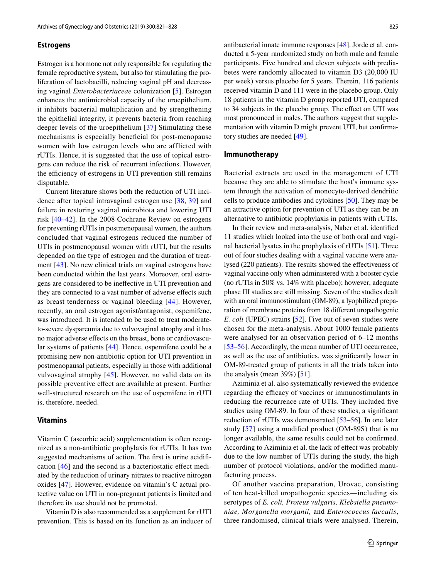#### **Estrogens**

Estrogen is a hormone not only responsible for regulating the female reproductive system, but also for stimulating the proliferation of lactobacilli, reducing vaginal pH and decreasing vaginal *Enterobacteriaceae* colonization [\[5](#page-6-4)]. Estrogen enhances the antimicrobial capacity of the uroepithelium, it inhibits bacterial multiplication and by strengthening the epithelial integrity, it prevents bacteria from reaching deeper levels of the uroepithelium [[37](#page-7-5)] Stimulating these mechanisms is especially benefcial for post-menopause women with low estrogen levels who are afflicted with rUTIs. Hence, it is suggested that the use of topical estrogens can reduce the risk of recurrent infections. However, the efficiency of estrogens in UTI prevention still remains disputable.

Current literature shows both the reduction of UTI incidence after topical intravaginal estrogen use [[38](#page-7-6), [39\]](#page-7-7) and failure in restoring vaginal microbiota and lowering UTI risk [\[40–](#page-7-8)[42](#page-7-9)]. In the 2008 Cochrane Review on estrogens for preventing rUTIs in postmenopausal women, the authors concluded that vaginal estrogens reduced the number of UTIs in postmenopausal women with rUTI, but the results depended on the type of estrogen and the duration of treatment [\[43](#page-7-10)]. No new clinical trials on vaginal estrogens have been conducted within the last years. Moreover, oral estrogens are considered to be inefective in UTI prevention and they are connected to a vast number of adverse efects such as breast tenderness or vaginal bleeding [\[44\]](#page-7-11). However, recently, an oral estrogen agonist/antagonist, ospemifene, was introduced. It is intended to be used to treat moderateto-severe dyspareunia due to vulvovaginal atrophy and it has no major adverse efects on the breast, bone or cardiovascular systems of patients [\[44](#page-7-11)]. Hence, ospemifene could be a promising new non-antibiotic option for UTI prevention in postmenopausal patients, especially in those with additional vulvovaginal atrophy [[45](#page-7-12)]. However, no valid data on its possible preventive efect are available at present. Further well-structured research on the use of ospemifene in rUTI is, therefore, needed.

## **Vitamins**

Vitamin C (ascorbic acid) supplementation is often recognized as a non-antibiotic prophylaxis for rUTIs. It has two suggested mechanisms of action. The frst is urine acidifcation [[46\]](#page-7-13) and the second is a bacteriostatic efect mediated by the reduction of urinary nitrates to reactive nitrogen oxides [\[47\]](#page-7-14). However, evidence on vitamin's C actual protective value on UTI in non-pregnant patients is limited and therefore its use should not be promoted.

Vitamin D is also recommended as a supplement for rUTI prevention. This is based on its function as an inducer of antibacterial innate immune responses [[48\]](#page-7-15). Jorde et al. conducted a 5-year randomized study on both male and female participants. Five hundred and eleven subjects with prediabetes were randomly allocated to vitamin D3 (20,000 IU per week) versus placebo for 5 years. Therein, 116 patients received vitamin D and 111 were in the placebo group. Only 18 patients in the vitamin D group reported UTI, compared to 34 subjects in the placebo group. The efect on UTI was most pronounced in males. The authors suggest that supplementation with vitamin D might prevent UTI, but confrmatory studies are needed [[49\]](#page-7-16).

#### **Immunotherapy**

Bacterial extracts are used in the management of UTI because they are able to stimulate the host's immune system through the activation of monocyte-derived dendritic cells to produce antibodies and cytokines [\[50](#page-7-17)]. They may be an attractive option for prevention of UTI as they can be an alternative to antibiotic prophylaxis in patients with rUTIs.

In their review and meta-analysis, Naber et al. identifed 11 studies which looked into the use of both oral and vaginal bacterial lysates in the prophylaxis of rUTIs [\[51\]](#page-7-18). Three out of four studies dealing with a vaginal vaccine were analysed (220 patients). The results showed the efectiveness of vaginal vaccine only when administered with a booster cycle (no rUTIs in 50% vs. 14% with placebo); however, adequate phase III studies are still missing. Seven of the studies dealt with an oral immunostimulant (OM-89), a lyophilized preparation of membrane proteins from 18 diferent uropathogenic *E. coli* (UPEC) strains [[52](#page-7-19)]. Five out of seven studies were chosen for the meta-analysis. About 1000 female patients were analysed for an observation period of 6–12 months [\[53](#page-7-20)–[56\]](#page-7-21). Accordingly, the mean number of UTI occurrence, as well as the use of antibiotics, was signifcantly lower in OM-89-treated group of patients in all the trials taken into the analysis (mean  $39\%$ ) [\[51](#page-7-18)].

Aziminia et al. also systematically reviewed the evidence regarding the efficacy of vaccines or immunostimulants in reducing the recurrence rate of UTIs. They included fve studies using OM-89. In four of these studies, a signifcant reduction of rUTIs was demonstrated [[53–](#page-7-20)[56](#page-7-21)]. In one later study [[57](#page-7-22)] using a modifed product (OM-89S) that is no longer available, the same results could not be confrmed. According to Aziminia et al. the lack of effect was probably due to the low number of UTIs during the study, the high number of protocol violations, and/or the modifed manufacturing process.

Of another vaccine preparation, Urovac, consisting of ten heat-killed uropathogenic species—including six serotypes of *E. coli, Proteus vulgaris, Klebsiella pneumoniae, Morganella morganii,* and *Enterococcus faecalis*, three randomised, clinical trials were analysed. Therein,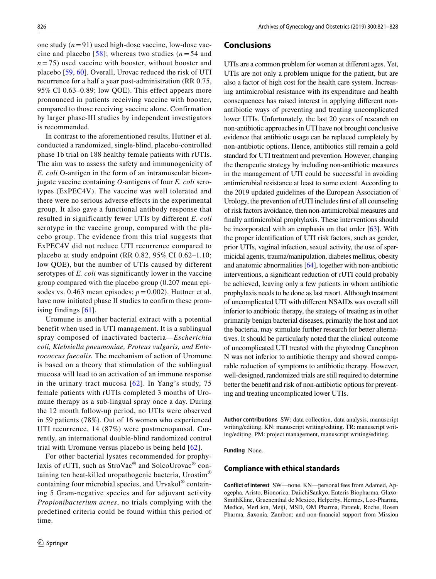one study (*n*=91) used high-dose vaccine, low-dose vaccine and placebo  $[58]$  $[58]$  $[58]$ ; whereas two studies ( $n = 54$  and  $n = 75$ ) used vaccine with booster, without booster and placebo [\[59,](#page-7-24) [60](#page-7-25)]. Overall, Urovac reduced the risk of UTI recurrence for a half a year post-administration (RR 0.75, 95% CI 0.63–0.89; low QOE). This effect appears more pronounced in patients receiving vaccine with booster, compared to those receiving vaccine alone. Confirmation by larger phase-III studies by independent investigators is recommended.

In contrast to the aforementioned results, Huttner et al. conducted a randomized, single-blind, placebo-controlled phase 1b trial on 188 healthy female patients with rUTIs. The aim was to assess the safety and immunogenicity of *E. coli* O-antigen in the form of an intramuscular biconjugate vaccine containing *O*-antigens of four *E. coli* serotypes (ExPEC4V). The vaccine was well tolerated and there were no serious adverse effects in the experimental group. It also gave a functional antibody response that resulted in significantly fewer UTIs by different *E. coli* serotype in the vaccine group, compared with the placebo group. The evidence from this trial suggests that ExPEC4V did not reduce UTI recurrence compared to placebo at study endpoint (RR 0.82, 95% CI 0.62–1.10; low QOE), but the number of UTIs caused by different serotypes of *E. coli* was significantly lower in the vaccine group compared with the placebo group (0.207 mean episodes vs. 0.463 mean episodes;  $p = 0.002$ ). Huttner et al. have now initiated phase II studies to confirm these promising findings [\[61\]](#page-7-26).

Uromune is another bacterial extract with a potential benefit when used in UTI management. It is a sublingual spray composed of inactivated bacteria—*Escherichia coli, Klebsiella pneumoniae, Proteus vulgaris, and Enterococcus faecalis.* The mechanism of action of Uromune is based on a theory that stimulation of the sublingual mucosa will lead to an activation of an immune response in the urinary tract mucosa [[62\]](#page-7-27). In Yang's study, 75 female patients with rUTIs completed 3 months of Uromune therapy as a sub-lingual spray once a day. During the 12 month follow-up period, no UTIs were observed in 59 patients (78%). Out of 16 women who experienced UTI recurrence, 14 (87%) were postmenopausal. Currently, an international double-blind randomized control trial with Uromune versus placebo is being held [[62](#page-7-27)].

For other bacterial lysates recommended for prophylaxis of rUTI, such as StroVac® and SolcoUrovac® containing ten heat-killed uropathogenic bacteria, Urostim® containing four microbial species, and Urvakol® containing 5 Gram-negative species and for adjuvant activity *Propionibacterium acnes*, no trials complying with the predefined criteria could be found within this period of time.

#### **Conclusions**

UTIs are a common problem for women at diferent ages. Yet, UTIs are not only a problem unique for the patient, but are also a factor of high cost for the health care system. Increasing antimicrobial resistance with its expenditure and health consequences has raised interest in applying diferent nonantibiotic ways of preventing and treating uncomplicated lower UTIs. Unfortunately, the last 20 years of research on non-antibiotic approaches in UTI have not brought conclusive evidence that antibiotic usage can be replaced completely by non-antibiotic options. Hence, antibiotics still remain a gold standard for UTI treatment and prevention. However, changing the therapeutic strategy by including non-antibiotic measures in the management of UTI could be successful in avoiding antimicrobial resistance at least to some extent. According to the 2019 updated guidelines of the European Association of Urology, the prevention of rUTI includes frst of all counseling of risk factors avoidance, then non-antimicrobial measures and fnally antimicrobial prophylaxis. These interventions should be incorporated with an emphasis on that order  $[63]$  $[63]$ . With the proper identifcation of UTI risk factors, such as gender, prior UTIs, vaginal infection, sexual activity, the use of spermicidal agents, trauma/manipulation, diabetes mellitus, obesity and anatomic abnormalities [[64\]](#page-7-29), together with non-antibiotic interventions, a signifcant reduction of rUTI could probably be achieved, leaving only a few patients in whom antibiotic prophylaxis needs to be done as last resort. Although treatment of uncomplicated UTI with diferent NSAIDs was overall still inferior to antibiotic therapy, the strategy of treating as in other primarily benign bacterial diseases, primarily the host and not the bacteria, may stimulate further research for better alternatives. It should be particularly noted that the clinical outcome of uncomplicated UTI treated with the phytodrug Canephron N was not inferior to antibiotic therapy and showed comparable reduction of symptoms to antibiotic therapy. However, well-designed, randomized trials are still required to determine better the beneft and risk of non-antibiotic options for preventing and treating uncomplicated lower UTIs.

**Author contributions** SW: data collection, data analysis, manuscript writing/editing. KN: manuscript writing/editing. TR: manuscript writing/editing. PM: project management, manuscript writing/editing.

**Funding** None.

#### **Compliance with ethical standards**

**Conflict of interest** SW—none. KN—personal fees from Adamed, Apogepha, Aristo, Bionorica, DaiichiSankyo, Enteris Biopharma, Glaxo-SmithKline, Gruenenthal de Mexico, Helperby, Hermes, Leo-Pharma, Medice, MerLion, Meiji, MSD, OM Pharma, Paratek, Roche, Rosen Pharma, Saxonia, Zambon; and non-fnancial support from Mission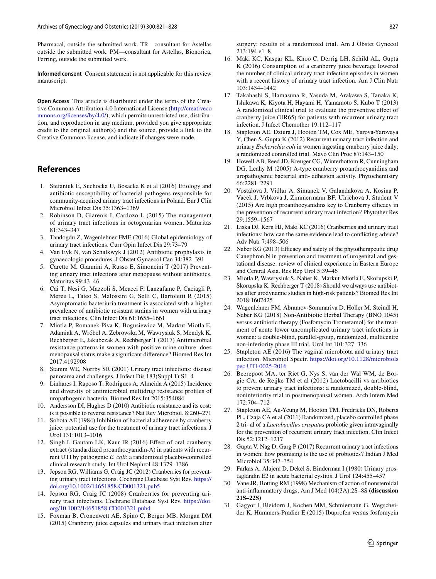Pharmacal, outside the submitted work. TR—consultant for Astellas outside the submitted work. PM—consultant for Astellas, Bionorica, Ferring, outside the submitted work.

**Informed consent** Consent statement is not applicable for this review manuscript.

**Open Access** This article is distributed under the terms of the Creative Commons Attribution 4.0 International License [\(http://creativeco](http://creativecommons.org/licenses/by/4.0/) [mmons.org/licenses/by/4.0/](http://creativecommons.org/licenses/by/4.0/)), which permits unrestricted use, distribution, and reproduction in any medium, provided you give appropriate credit to the original author(s) and the source, provide a link to the Creative Commons license, and indicate if changes were made.

# **References**

- <span id="page-6-0"></span>1. Stefaniuk E, Suchocka U, Bosacka K et al (2016) Etiology and antibiotic susceptibility of bacterial pathogens responsible for community-acquired urinary tract infections in Poland. Eur J Clin Microbiol Infect Dis 35:1363–1369
- <span id="page-6-1"></span>2. Robinson D, Giarenis I, Cardozo L (2015) The management of urinary tract infections in octogenarian women. Maturitas 81:343–347
- <span id="page-6-2"></span>3. Tandogdu Z, Wagenlehner FME (2016) Global epidemiology of urinary tract infections. Curr Opin Infect Dis 29:73–79
- <span id="page-6-3"></span>4. Van Eyk N, van Schalkwyk J (2012) Antibiotic prophylaxis in gynaecologic procedures. J Obstet Gynaecol Can 34:382–391
- <span id="page-6-4"></span>5. Caretto M, Giannini A, Russo E, Simoncini T (2017) Preventing urinary tract infections after menopause without antibiotics. Maturitas 99:43–46
- <span id="page-6-5"></span>6. Cai T, Nesi G, Mazzoli S, Meacci F, Lanzafame P, Caciagli P, Mereu L, Tateo S, Malossini G, Selli C, Bartoletti R (2015) Asymptomatic bacteriuria treatment is associated with a higher prevalence of antibiotic resistant strains in women with urinary tract infections. Clin Infect Dis 61:1655–1661
- <span id="page-6-6"></span>7. Miotla P, Romanek-Piva K, Bogusiewicz M, Markut-Miotla E, Adamiak A, Wróbel A, Zebrowska M, Wawrysiuk S, Mendyk K, Rechberger E, Jakubczak A, Rechberger T (2017) Antimicrobial resistance patterns in women with positive urine culture: does menopausal status make a signifcant diference? Biomed Res Int 2017:4192908
- <span id="page-6-7"></span>8. Stamm WE, Norrby SR (2001) Urinary tract infections: disease panorama and challenges. J Infect Dis 183(Suppl 1):S1–4
- <span id="page-6-8"></span>9. Linhares I, Raposo T, Rodrigues A, Almeida A (2015) Incidence and diversity of antimicrobial multidrug resistance profles of uropathogenic bacteria. Biomed Res Int 2015:354084
- <span id="page-6-9"></span>10. Andersson DI, Hughes D (2010) Antibiotic resistance and its cost: is it possible to reverse resistance? Nat Rev Microbiol. 8:260–271
- <span id="page-6-10"></span>11. Sobota AE (1984) Inhibition of bacterial adherence by cranberry juice: potential use for the treatment of urinary tract infections. J Urol 131:1013–1016
- <span id="page-6-11"></span>12. Singh I, Gautam LK, Kaur IR (2016) Efect of oral cranberry extract (standardized proanthocyanidin-A) in patients with recurrent UTI by pathogenic *E. coli*: a randomized placebo-controlled clinical research study. Int Urol Nephrol 48:1379–1386
- <span id="page-6-12"></span>13. Jepson RG, Williams G, Craig JC (2012) Cranberries for preventing urinary tract infections. Cochrane Database Syst Rev. [https://](https://doi.org/10.1002/14651858.CD001321.pub5) [doi.org/10.1002/14651858.CD001321.pub5](https://doi.org/10.1002/14651858.CD001321.pub5)
- <span id="page-6-13"></span>14. Jepson RG, Craig JC (2008) Cranberries for preventing urinary tract infections. Cochrane Database Syst Rev. [https://doi.](https://doi.org/10.1002/14651858.CD001321.pub4) [org/10.1002/14651858.CD001321.pub4](https://doi.org/10.1002/14651858.CD001321.pub4)
- <span id="page-6-14"></span>15. Foxman B, Cronenwett AE, Spino C, Berger MB, Morgan DM (2015) Cranberry juice capsules and urinary tract infection after

surgery: results of a randomized trial. Am J Obstet Gynecol 213:194.e1–8

- <span id="page-6-15"></span>16. Maki KC, Kaspar KL, Khoo C, Derrig LH, Schild AL, Gupta K (2016) Consumption of a cranberry juice beverage lowered the number of clinical urinary tract infection episodes in women with a recent history of urinary tract infection. Am J Clin Nutr 103:1434–1442
- <span id="page-6-16"></span>17. Takahashi S, Hamasuna R, Yasuda M, Arakawa S, Tanaka K, Ishikawa K, Kiyota H, Hayami H, Yamamoto S, Kubo T (2013) A randomized clinical trial to evaluate the preventive efect of cranberry juice (UR65) for patients with recurrent urinary tract infection. J Infect Chemother 19:112–117
- <span id="page-6-17"></span>18. Stapleton AE, Dziura J, Hooton TM, Cox ME, Yarova-Yarovaya Y, Chen S, Gupta K (2012) Recurrent urinary tract infection and urinary *Escherichia coli* in women ingesting cranberry juice daily: a randomized controlled trial. Mayo Clin Proc 87:143–150
- <span id="page-6-18"></span>19. Howell AB, Reed JD, Kreuger CG, Winterbottom R, Cunningham DG, Leahy M (2005) A-type cranberry proanthocyanidins and uropathogenic bacterial anti- adhesion activity. Phytochemistry 66:2281–2291
- <span id="page-6-19"></span>20. Vostalova J, Vidlar A, Simanek V, Galandakova A, Kosina P, Vacek J, Vrbkova J, Zimmermann BF, Ulrichova J, Student V  $(2015)$  Are high proanthocyanidins key to Cranberry efficacy in the prevention of recurrent urinary tract infection? Phytother Res 29:1559–1567
- <span id="page-6-20"></span>21. Liska DJ, Kern HJ, Maki KC (2016) Cranberries and urinary tract infections: how can the same evidence lead to conficting advice? Adv Nutr 7:498–506
- <span id="page-6-21"></span>22. Naber KG (2013) Efficacy and safety of the phytotherapeutic drug Canephron N in prevention and treatment of urogenital and gestational disease: review of clinical experience in Eastern Europe and Central Asia. Res Rep Urol 5:39–46
- <span id="page-6-22"></span>23. Miotla P, Wawrysiuk S, Naber K, Markut-Miotla E, Skorupski P, Skorupska K, Rechberger T (2018) Should we always use antibiotics after urodynamic studies in high-risk patients? Biomed Res Int 2018:1607425
- <span id="page-6-23"></span>24. Wagenlehner FM, Abramov-Sommariva D, Höller M, Steindl H, Naber KG (2018) Non-Antibiotic Herbal Therapy (BNO 1045) versus antibiotic therapy (Fosfomycin Trometamol) for the treatment of acute lower uncomplicated urinary tract infections in women: a double-blind, parallel-group, randomized, multicentre non-inferiority phase III trial. Urol Int 101:327–336
- <span id="page-6-24"></span>25. Stapleton AE (2016) The vaginal microbiota and urinary tract infection. Microbiol Spectr. [https://doi.org/10.1128/microbiols](https://doi.org/10.1128/microbiolspec.UTI-0025-2016) [pec.UTI-0025-2016](https://doi.org/10.1128/microbiolspec.UTI-0025-2016)
- <span id="page-6-25"></span>26. Beerepoot MA, ter Riet G, Nys S, van der Wal WM, de Borgie CA, de Reijke TM et al (2012) Lactobacilli vs antibiotics to prevent urinary tract infections: a randomized, double-blind, noninferiority trial in postmenopausal women. Arch Intern Med 172:704–712
- <span id="page-6-26"></span>27. Stapleton AE, Au-Yeung M, Hooton TM, Fredricks DN, Roberts PL, Czaja CA et al (2011) Randomized, placebo controlled phase 2 tri- al of a *Lactobacillus crispatus* probiotic given intravaginally for the prevention of recurrent urinary tract infection. Clin Infect Dis 52:1212–1217
- <span id="page-6-27"></span>28. Gupta V, Nag D, Garg P (2017) Recurrent urinary tract infections in women: how promising is the use of probiotics? Indian J Med Microbiol 35:347–354
- <span id="page-6-28"></span>29. Farkas A, Alajem D, Dekel S, Binderman I (1980) Urinary prostaglandin E2 in acute bacterial cystitis. J Urol 124:455–457
- <span id="page-6-29"></span>30. Vane JR, Botting RM (1998) Mechanism of action of nonsteroidal anti-infammatory drugs. Am J Med 104(3A):2S–8S **(discussion 21S–22S)**
- <span id="page-6-30"></span>31. Gagyor I, Bleidorn J, Kochen MM, Schmiemann G, Wegscheider K, Hummers-Pradier E (2015) Ibuprofen versus fosfomycin